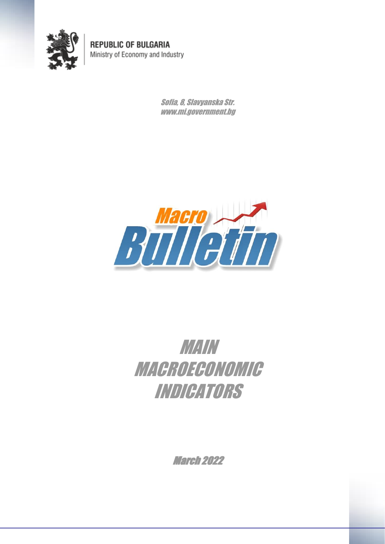

**REPUBLIC OF BULGARIA** Ministry of Economy and Industry

> Sofia, 8, Slavyanska Str. www.mi.government.bg



## MAIN **MACROECONOMIC** INDICATORS

March 2022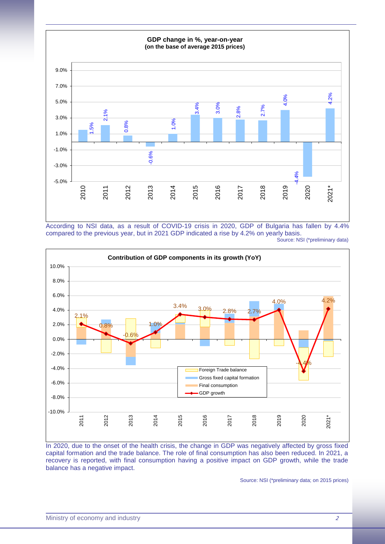

According to NSI data, as a result of COVID-19 crisis in 2020, GDP of Bulgaria has fallen by 4.4% compared to the previous year, but in 2021 GDP indicated a rise by 4.2% on yearly basis. Source: NSI (\*preliminary data)



In 2020, due to the onset of the health crisis, the change in GDP was negatively affected by gross fixed capital formation and the trade balance. The role of final consumption has also been reduced. In 2021, a recovery is reported, with final consumption having a positive impact on GDP growth, while the trade balance has a negative impact.

Source: NSI (\*preliminary data; on 2015 prices)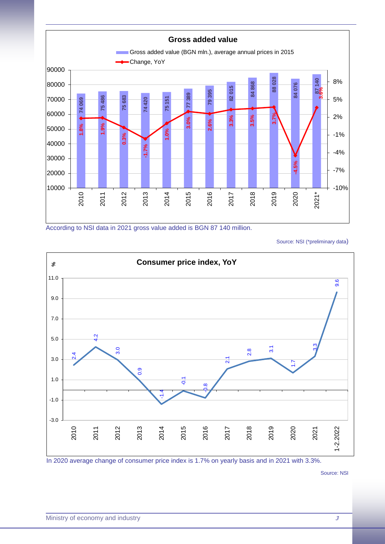

According to NSI data in 2021 gross value added is BGN 87 140 million.

Source: NSI (\*preliminary data)



In 2020 average change of consumer price index is 1.7% on yearly basis and in 2021 with 3.3%.

Source: NSI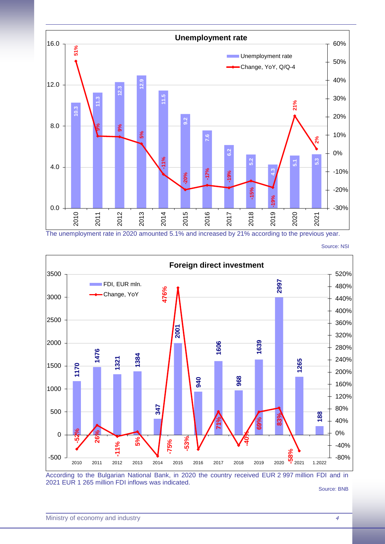

The unemployment rate in 2020 amounted 5.1% and increased by 21% according to the previous year.

Source: NSI



According to the Bulgarian National Bank, in 2020 the country received EUR 2 997 million FDI and in 2021 EUR 1 265 million FDI inflows was indicated.

Source: BNB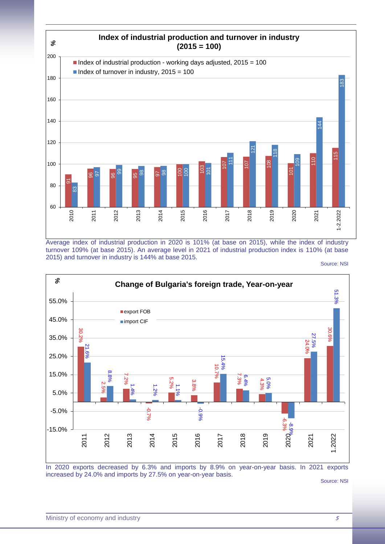

Average index of industrial production in 2020 is 101% (at base on 2015), while the index of industry turnover 109% (at base 2015). An average level in 2021 of industrial production index is 110% (at base 2015) and turnover in industry is 144% at base 2015.

Source: NSI



In 2020 exports decreased by 6.3% and imports by 8.9% on year-on-year basis. In 2021 exports increased by 24.0% and imports by 27.5% on year-on-year basis.

Source: NSI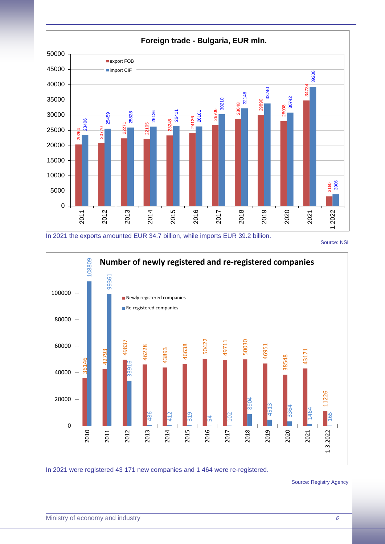

In 2021 the exports amounted EUR 34.7 billion, while imports EUR 39.2 billion.

Source: NSI



In 2021 were registered 43 171 new companies and 1 464 were re-registered.

Source: Registry Agency